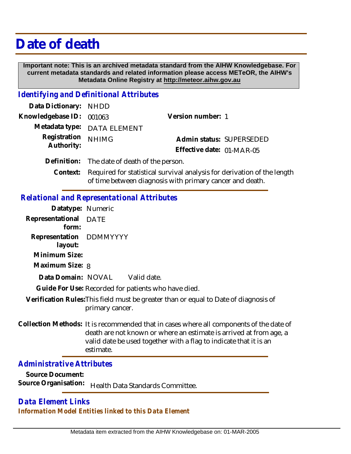# **Date of death**

 **Important note: This is an archived metadata standard from the AIHW Knowledgebase. For current metadata standards and related information please access METeOR, the AIHW's Metadata Online Registry at http://meteor.aihw.gov.au**

#### *Identifying and Definitional Attributes*

| Data Dictionary: NHDD    |                                                                           |                           |                          |
|--------------------------|---------------------------------------------------------------------------|---------------------------|--------------------------|
| Knowledgebase ID: 001063 |                                                                           | Version number: 1         |                          |
|                          | Metadata type: DATA ELEMENT                                               |                           |                          |
| Registration             | <b>NHIMG</b>                                                              |                           | Admin status: SUPERSEDED |
| Authority:               |                                                                           | Effective date: 01-MAR-05 |                          |
|                          | Definition: The date of death of the person.                              |                           |                          |
|                          | Context: Dequired for statistical survival apolysis for derivation of the |                           |                          |

## Context: Required for statistical survival analysis for derivation of the length of time between diagnosis with primary cancer and death.

### *Relational and Representational Attributes*

| Datatype: Numeric                  |                                                                                                                                                              |
|------------------------------------|--------------------------------------------------------------------------------------------------------------------------------------------------------------|
| Representational DATE<br>form:     |                                                                                                                                                              |
| Representation DDMMYYYY<br>layout: |                                                                                                                                                              |
| Minimum Size:                      |                                                                                                                                                              |
| Maximum Size: 8                    |                                                                                                                                                              |
| Data Domain: NOVAL                 | Valid date.                                                                                                                                                  |
|                                    | Guide For Use: Recorded for patients who have died.                                                                                                          |
|                                    | Verification Rules: This field must be greater than or equal to Date of diagnosis of<br>primary cancer.                                                      |
|                                    | Collection Methods: It is recommended that in cases where all components of the date of<br>death are not known or where an estimate is arrived at from age a |

not known or where an estimate is arrived at from age, a valid date be used together with a flag to indicate that it is an estimate.

*Administrative Attributes*

**Source Document:** Source Organisation: **Health Data Standards Committee.** 

## *Data Element Links Information Model Entities linked to this Data Element*